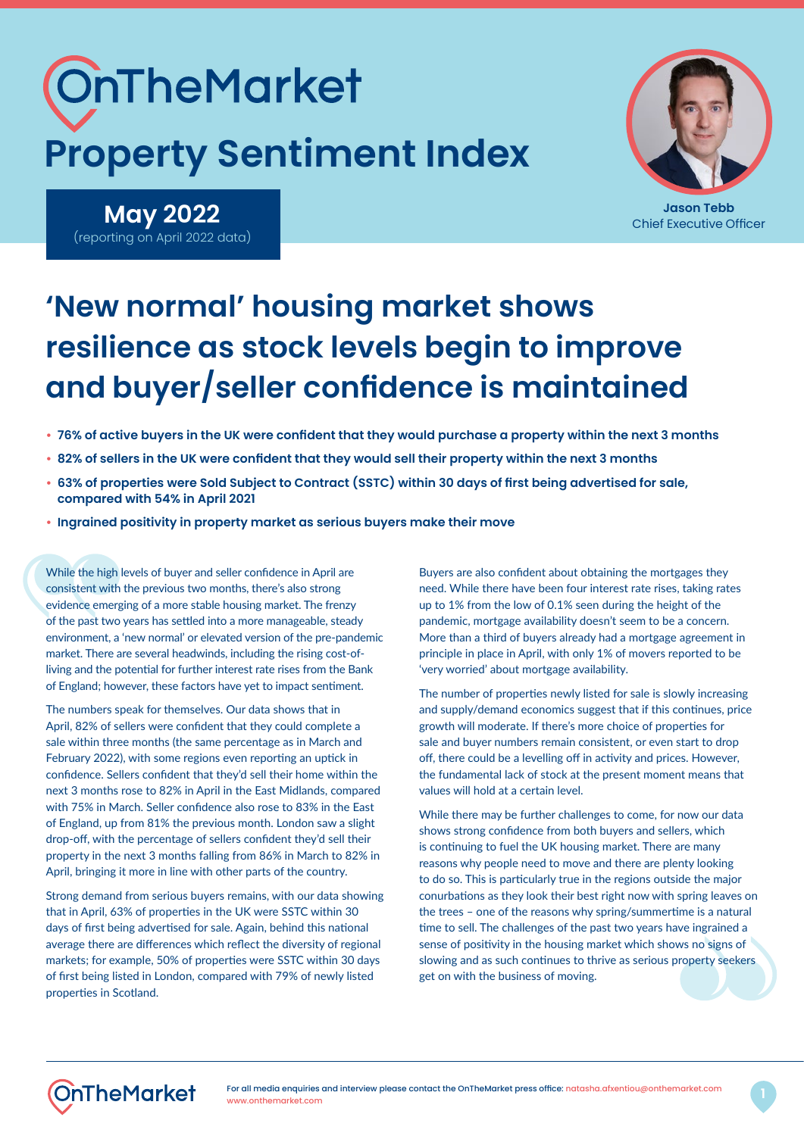# OnTheMarket **Property Sentiment Index**



**Jason Tebb**  Chief Executive Officer

**May 2022** (reporting on April 2022 data)

## **'New normal' housing market shows resilience as stock levels begin to improve and buyer/seller confidence is maintained**

- **• 76% of active buyers in the UK were confident that they would purchase a property within the next 3 months**
- **• 82% of sellers in the UK were confident that they would sell their property within the next 3 months**
- **• 63% of properties were Sold Subject to Contract (SSTC) within 30 days of first being advertised for sale, compared with 54% in April 2021**
- **• Ingrained positivity in property market as serious buyers make their move**

While the high levels of buyer and seller confidence in April are consistent with the previous two months, there's also strong evidence emerging of a more stable housing market. The frenzy of the past two years has settled into a more manageable, steady environment, a 'new normal' or elevated version of the pre-pandemic market. There are several headwinds, including the rising cost-ofliving and the potential for further interest rate rises from the Bank of England; however, these factors have yet to impact sentiment.

The numbers speak for themselves. Our data shows that in April, 82% of sellers were confident that they could complete a sale within three months (the same percentage as in March and February 2022), with some regions even reporting an uptick in confidence. Sellers confident that they'd sell their home within the next 3 months rose to 82% in April in the East Midlands, compared with 75% in March. Seller confidence also rose to 83% in the East of England, up from 81% the previous month. London saw a slight drop-off, with the percentage of sellers confident they'd sell their property in the next 3 months falling from 86% in March to 82% in April, bringing it more in line with other parts of the country.

Strong demand from serious buyers remains, with our data showing that in April, 63% of properties in the UK were SSTC within 30 days of first being advertised for sale. Again, behind this national average there are differences which reflect the diversity of regional markets; for example, 50% of properties were SSTC within 30 days of first being listed in London, compared with 79% of newly listed properties in Scotland.

Buyers are also confident about obtaining the mortgages they need. While there have been four interest rate rises, taking rates up to 1% from the low of 0.1% seen during the height of the pandemic, mortgage availability doesn't seem to be a concern. More than a third of buyers already had a mortgage agreement in principle in place in April, with only 1% of movers reported to be 'very worried' about mortgage availability.

The number of properties newly listed for sale is slowly increasing and supply/demand economics suggest that if this continues, price growth will moderate. If there's more choice of properties for sale and buyer numbers remain consistent, or even start to drop off, there could be a levelling off in activity and prices. However, the fundamental lack of stock at the present moment means that values will hold at a certain level.

While there may be further challenges to come, for now our data shows strong confidence from both buyers and sellers, which is continuing to fuel the UK housing market. There are many reasons why people need to move and there are plenty looking to do so. This is particularly true in the regions outside the major conurbations as they look their best right now with spring leaves on the trees – one of the reasons why spring/summertime is a natural time to sell. The challenges of the past two years have ingrained a sense of positivity in the housing market which shows no signs of slowing and as such continues to thrive as serious property seekers get on with the business of moving.

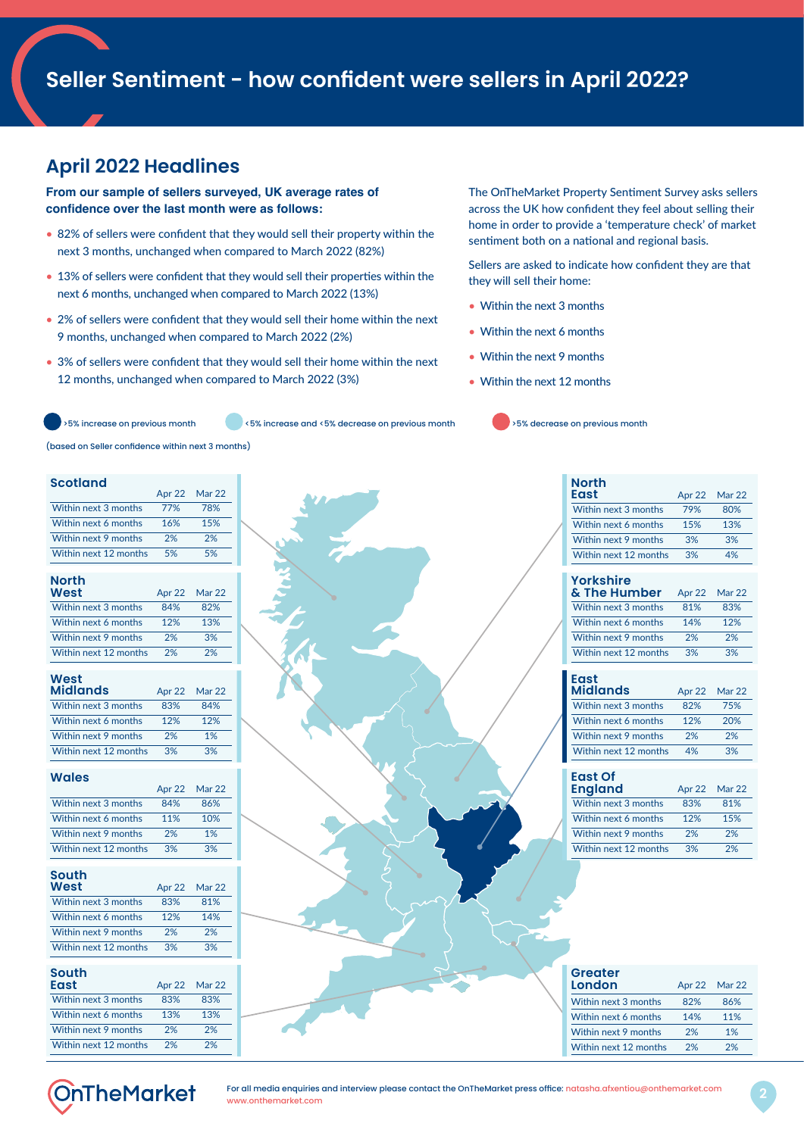## **Seller Sentiment - how confident were sellers in April 2022?**

## **April 2022 Headlines**

**From our sample of sellers surveyed, UK average rates of confidence over the last month were as follows:** 

- 82% of sellers were confident that they would sell their property within the next 3 months, unchanged when compared to March 2022 (82%)
- 13% of sellers were confident that they would sell their properties within the next 6 months, unchanged when compared to March 2022 (13%)
- 2% of sellers were confident that they would sell their home within the next 9 months, unchanged when compared to March 2022 (2%)
- 3% of sellers were confident that they would sell their home within the next 12 months, unchanged when compared to March 2022 (3%)

(based on Seller confidence within next 3 months)

#### **Scotland**

|                       |     | Apr 22 Mar 22 |
|-----------------------|-----|---------------|
| Within next 3 months  | 77% | 78%           |
| Within next 6 months  | 16% | 15%           |
| Within next 9 months  | 2%  | 2%            |
| Within next 12 months | 5%  | 5%            |

#### **North**

| West                  |     | Apr 22 Mar 22 |  | <b>&amp; The Humber</b> | Apr 22 Mar 22 |     |
|-----------------------|-----|---------------|--|-------------------------|---------------|-----|
| Within next 3 months  | 84% | 82%           |  | Within next 3 months    | 81%           | 83% |
| Within next 6 months  | 12% | 13%           |  | Within next 6 months    | 14%           | 12% |
| Within next 9 months  | 2%  | 3%            |  | Within next 9 months    | 2%            | 2%  |
| Within next 12 months | 2%  | 2%            |  | Within next 12 months   | 3%            | 3%  |

#### **West**

| <b>Midlands</b>       |     | Apr 22 Mar 22 |
|-----------------------|-----|---------------|
| Within next 3 months  | 83% | 84%           |
| Within next 6 months  | 12% | 12%           |
| Within next 9 months  | 2%  | 1%            |
| Within next 12 months | 3%  | 3%            |

#### **Wales**

|                       |     | Apr 22 Mar 22 |
|-----------------------|-----|---------------|
| Within next 3 months  | 84% | 86%           |
| Within next 6 months  | 11% | 10%           |
| Within next 9 months  | 2%  | 1%            |
| Within next 12 months | 3%  | 3%            |

#### **South**

| West                  |     | Apr 22 Mar 22 |
|-----------------------|-----|---------------|
| Within next 3 months  | 83% | 81%           |
| Within next 6 months  | 12% | 14%           |
| Within next 9 months  | 2%  | 2%            |
| Within next 12 months | 3%  | 3%            |

#### **South**

| East                  |     | Apr 22 Mar 22 |
|-----------------------|-----|---------------|
| Within next 3 months  | 83% | 83%           |
| Within next 6 months  | 13% | 13%           |
| Within next 9 months  | 2%  | 2%            |
| Within next 12 months | 2%  | 2%            |

**Midlands** Apr 22 Mar 22 **Mar 22 Mar 22 Mar 22 Mar 22 Mar 22 Mar 22 Mar 22 Mar 22 Mar 22 Mar 22 Mar 22 Mar 22 Mar 22 Mar 22 Mar 22 Mar 22 Mar 22 Mar 22 Mar 22 Mar 22 Mar 22 Mar 22 Mar 22 Mar 22 Mar 22 Mar 22 Mar 22 Mar 22 East** Apr 22 Mar 22 Mar 22 Mar 22 Mar 22 Mar 22 Mar 22 Mar 22 Mar 22 Mar 22 Mar 22 Mar 22 Mar 22 Mar 22 Mar 22 Mar 22 Mar 22 Mar 22 Mar 22 Mar 22 Mar 22 Mar 22 Mar 22 Mar 22 Mar 22 Mar 22 Mar 22 Mar 22 Mar 22 Mar 22 Mar 2

The OnTheMarket Property Sentiment Survey asks sellers across the UK how confident they feel about selling their home in order to provide a 'temperature check' of market sentiment both on a national and regional basis.

Sellers are asked to indicate how confident they are that they will sell their home:

- Within the next 3 months
- Within the next 6 months
- Within the next 9 months
- Within the next 12 months

>5% increase on previous month <5% increase and <5% decrease on previous month >5% decrease on previous month

| <b>North</b>          |        |        |
|-----------------------|--------|--------|
| East                  | Apr 22 | Mar 22 |
| Within next 3 months  | 79%    | 80%    |
| Within next 6 months  | 15%    | 13%    |
| Within next 9 months  | 3%     | 3%     |
| Within next 12 months | 3%     | 4%     |

#### **Yorkshire**

| & The Humber          | Apr 22 | Mar 22 |
|-----------------------|--------|--------|
| Within next 3 months  | 81%    | 83%    |
| Within next 6 months  | 14%    | 12%    |
| Within next 9 months  | 2%     | 2%     |
| Within next 12 months | 3%     | 3%     |

#### **East**

| <b>Midlands</b>       |     | Apr 22 Mar 22 |
|-----------------------|-----|---------------|
| Within next 3 months  | 82% | 75%           |
| Within next 6 months  | 12% | 20%           |
| Within next 9 months  | 2%  | 2%            |
| Within next 12 months | 4%  | 3%            |

#### **East Of**

| <b>England</b>        |     | Apr 22 Mar 22 |
|-----------------------|-----|---------------|
| Within next 3 months  | 83% | 81%           |
| Within next 6 months  | 12% | 15%           |
| Within next 9 months  | 2%  | 2%            |
| Within next 12 months | 3%  | 2%            |

#### **Greater**

| London                |     | Apr 22 Mar 22 |
|-----------------------|-----|---------------|
| Within next 3 months  | 82% | 86%           |
| Within next 6 months  | 14% | 11%           |
| Within next 9 months  | 2%  | 1%            |
| Within next 12 months | 2%  | 2%            |

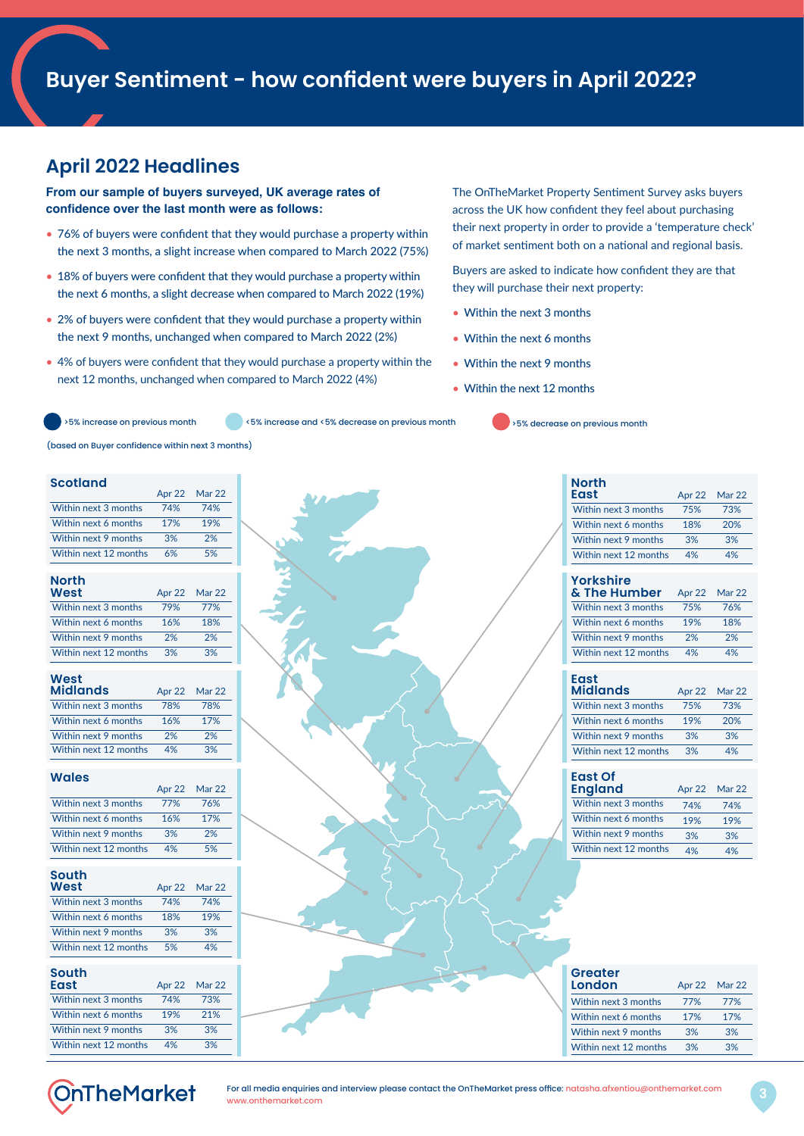## **Buyer Sentiment - how confident were buyers in April 2022?**

## **April 2022 Headlines**

**From our sample of buyers surveyed, UK average rates of confidence over the last month were as follows:** 

- 76% of buyers were confident that they would purchase a property within the next 3 months, a slight increase when compared to March 2022 (75%)
- 18% of buyers were confident that they would purchase a property within the next 6 months, a slight decrease when compared to March 2022 (19%)
- 2% of buyers were confident that they would purchase a property within the next 9 months, unchanged when compared to March 2022 (2%)
- 4% of buyers were confident that they would purchase a property within the next 12 months, unchanged when compared to March 2022 (4%)

The OnTheMarket Property Sentiment Survey asks buyers across the UK how confident they feel about purchasing their next property in order to provide a 'temperature check' of market sentiment both on a national and regional basis.

Buyers are asked to indicate how confident they are that they will purchase their next property:

- Within the next 3 months
- Within the next 6 months
- Within the next 9 months
- Within the next 12 months

>5% increase on previous month <5% increase and <5% decrease on previous month >5% decrease on previous month

(based on Buyer confidence within next 3 months)

#### **Scotland**

|                       |     | Apr 22 Mar 22 |
|-----------------------|-----|---------------|
| Within next 3 months  | 74% | 74%           |
| Within next 6 months  | 17% | 19%           |
| Within next 9 months  | 3%  | 2%            |
| Within next 12 months | 6%  | 5%            |

#### **North**

| Apr 22 | Mar 22 |
|--------|--------|
| 79%    | 77%    |
| 16%    | 18%    |
| 2%     | 2%     |
| 3%     | 3%     |
|        |        |

#### **West**

| <b>Midlands</b>       |     | Apr 22 Mar 22 |
|-----------------------|-----|---------------|
| Within next 3 months  | 78% | 78%           |
| Within next 6 months  | 16% | 17%           |
| Within next 9 months  | 2%  | 2%            |
| Within next 12 months | 4%  | 3%            |

#### **Wales**

|                       |     | Apr 22 Mar 22 |
|-----------------------|-----|---------------|
| Within next 3 months  | 77% | 76%           |
| Within next 6 months  | 16% | 17%           |
| Within next 9 months  | 3%  | 2%            |
| Within next 12 months | 4%  | 5%            |

#### **South**

| West                  | Apr 22 | Mar 22 |
|-----------------------|--------|--------|
| Within next 3 months  | 74%    | 74%    |
| Within next 6 months  | 18%    | 19%    |
| Within next 9 months  | 3%     | 3%     |
| Within next 12 months | 5%     | 4%     |

| outh<br>S. |  |
|------------|--|
| мs         |  |

| East                  |     | Apr 22 Mar 22 |
|-----------------------|-----|---------------|
| Within next 3 months  | 74% | 73%           |
| Within next 6 months  | 19% | 21%           |
| Within next 9 months  | 3%  | 3%            |
| Within next 12 months | 4%  | 3%            |

**West** Apr 22 Mar 22 **Apr 22 Mar 22 Mar 24 Mar 20 Mar 20 Mar 20 Mar 20 Mar 20 Mar 20 Mar 20 Mar 20 Mar 20 Mar 20 Mar 20 Mar 20 Mar 20 Mar 20 Mar 20 Mar 20 Mar 20 Mar 20 Mar 20 Mar 20 Mar 20 Mar 20 Mar 20 Mar 20 Mar 20 Mar Midlands** Apr 22 Mar 22 **Mar 22 Mar 22 Mar 22 Mar 22 Mar 22 Mar 22 Mar 22 Mar 22 Mar 22 Mar 22 Mar 22 Mar 22 Mar 22 Mar 22 Mar 22 Mar 22 Mar 22 Mar 22 Mar 22 Mar 22 Mar 22 Mar 22 Mar 22 Mar 22 Mar 22 Mar 22 Mar 22 Mar 22 East** Apr 22 Mar 22 Mar 22 Mar 22 Mar 22 Mar 22 Mar 22 Mar 22 Mar 22 Mar 22 Mar 22 Mar 22 Mar 22 Mar 22 Mar 22 Mar 22 Mar 22 Mar 22 Mar 22 Mar 22 Mar 22 Mar 22 Mar 22 Mar 22 Mar 22 Mar 22 Mar 22 Mar 22 Mar 22 Mar 22 Mar 2

#### Apr 22 Mar 22 Within next 3 months 75% 73% Within next 6 months 18% 20% Within next 9 months 3% 3% Within next 12 months 4% 4% **North East**

#### **Yorkshire**

| & The Humber          | Apr 22 | <b>Mar 22</b> |
|-----------------------|--------|---------------|
| Within next 3 months  | 75%    | 76%           |
| Within next 6 months  | 19%    | 18%           |
| Within next 9 months  | 2%     | 2%            |
| Within next 12 months | 4%     | 4%            |

#### **East**

| <b>Midlands</b>       |     | Apr 22 Mar 22 |
|-----------------------|-----|---------------|
| Within next 3 months  | 75% | 73%           |
| Within next 6 months  | 19% | 20%           |
| Within next 9 months  | 3%  | 3%            |
| Within next 12 months | 3%  | 4%            |

#### **East Of**

| <b>England</b>        |     | Apr 22 Mar 22 |
|-----------------------|-----|---------------|
| Within next 3 months  | 74% | 74%           |
| Within next 6 months  | 19% | 19%           |
| Within next 9 months  | 3%  | 3%            |
| Within next 12 months | 4%  | 4%            |

#### **Greater**

|     | Apr 22 Mar 22 |
|-----|---------------|
| 77% | 77%           |
| 17% | 17%           |
| 3%  | 3%            |
| 3%  | 3%            |
|     |               |

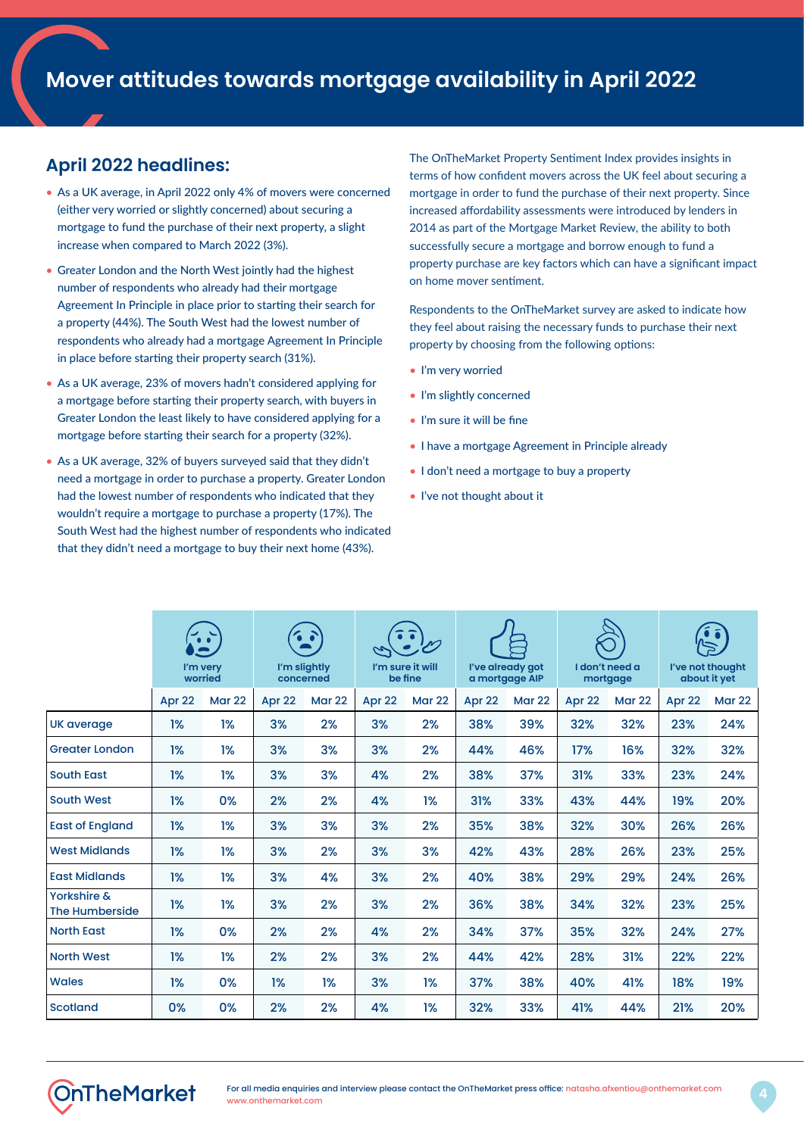## **April 2022 headlines:**

- As a UK average, in April 2022 only 4% of movers were concerned (either very worried or slightly concerned) about securing a mortgage to fund the purchase of their next property, a slight increase when compared to March 2022 (3%).
- Greater London and the North West jointly had the highest number of respondents who already had their mortgage Agreement In Principle in place prior to starting their search for a property (44%). The South West had the lowest number of respondents who already had a mortgage Agreement In Principle in place before starting their property search (31%).
- As a UK average, 23% of movers hadn't considered applying for a mortgage before starting their property search, with buyers in Greater London the least likely to have considered applying for a mortgage before starting their search for a property (32%).
- As a UK average, 32% of buyers surveyed said that they didn't need a mortgage in order to purchase a property. Greater London had the lowest number of respondents who indicated that they wouldn't require a mortgage to purchase a property (17%). The South West had the highest number of respondents who indicated that they didn't need a mortgage to buy their next home (43%).

The OnTheMarket Property Sentiment Index provides insights in terms of how confident movers across the UK feel about securing a mortgage in order to fund the purchase of their next property. Since increased affordability assessments were introduced by lenders in 2014 as part of the Mortgage Market Review, the ability to both successfully secure a mortgage and borrow enough to fund a property purchase are key factors which can have a significant impact on home mover sentiment.

Respondents to the OnTheMarket survey are asked to indicate how they feel about raising the necessary funds to purchase their next property by choosing from the following options:

- I'm very worried
- I'm slightly concerned
- I'm sure it will be fine
- I have a mortgage Agreement in Principle already
- I don't need a mortgage to buy a property
- I've not thought about it

|                                                 | I'm very<br>worried |               |        | $\bullet\quadbullet$<br>I'm slightly<br>concerned |        | I'm sure it will<br>be fine | a mortgage AIP | I've already got |        | I don't need a<br>mortgage |        | I've not thought<br>about it yet |
|-------------------------------------------------|---------------------|---------------|--------|---------------------------------------------------|--------|-----------------------------|----------------|------------------|--------|----------------------------|--------|----------------------------------|
|                                                 | Apr 22              | <b>Mar 22</b> | Apr 22 | <b>Mar 22</b>                                     | Apr 22 | <b>Mar 22</b>               | Apr 22         | <b>Mar 22</b>    | Apr 22 | <b>Mar 22</b>              | Apr 22 | <b>Mar 22</b>                    |
| UK average                                      | 1%                  | 1%            | 3%     | 2%                                                | 3%     | 2%                          | 38%            | 39%              | 32%    | 32%                        | 23%    | 24%                              |
| <b>Greater London</b>                           | 1%                  | 1%            | 3%     | 3%                                                | 3%     | 2%                          | 44%            | 46%              | 17%    | 16%                        | 32%    | 32%                              |
| <b>South East</b>                               | 1%                  | 1%            | 3%     | 3%                                                | 4%     | 2%                          | 38%            | 37%              | 31%    | 33%                        | 23%    | 24%                              |
| <b>South West</b>                               | 1%                  | 0%            | 2%     | 2%                                                | 4%     | 1%                          | 31%            | 33%              | 43%    | 44%                        | 19%    | 20%                              |
| <b>East of England</b>                          | 1%                  | 1%            | 3%     | 3%                                                | 3%     | 2%                          | 35%            | 38%              | 32%    | 30%                        | 26%    | 26%                              |
| <b>West Midlands</b>                            | 1%                  | 1%            | 3%     | 2%                                                | 3%     | 3%                          | 42%            | 43%              | 28%    | 26%                        | 23%    | 25%                              |
| <b>East Midlands</b>                            | 1%                  | 1%            | 3%     | 4%                                                | 3%     | 2%                          | 40%            | 38%              | 29%    | 29%                        | 24%    | 26%                              |
| <b>Yorkshire &amp;</b><br><b>The Humberside</b> | 1%                  | 1%            | 3%     | 2%                                                | 3%     | 2%                          | 36%            | 38%              | 34%    | 32%                        | 23%    | 25%                              |
| <b>North East</b>                               | 1%                  | 0%            | 2%     | 2%                                                | 4%     | 2%                          | 34%            | 37%              | 35%    | 32%                        | 24%    | 27%                              |
| <b>North West</b>                               | 1%                  | 1%            | 2%     | 2%                                                | 3%     | 2%                          | 44%            | 42%              | 28%    | 31%                        | 22%    | 22%                              |
| <b>Wales</b>                                    | 1%                  | 0%            | 1%     | 1%                                                | 3%     | 1%                          | 37%            | 38%              | 40%    | 41%                        | 18%    | 19%                              |
| Scotland                                        | 0%                  | 0%            | 2%     | 2%                                                | 4%     | 1%                          | 32%            | 33%              | 41%    | 44%                        | 21%    | 20%                              |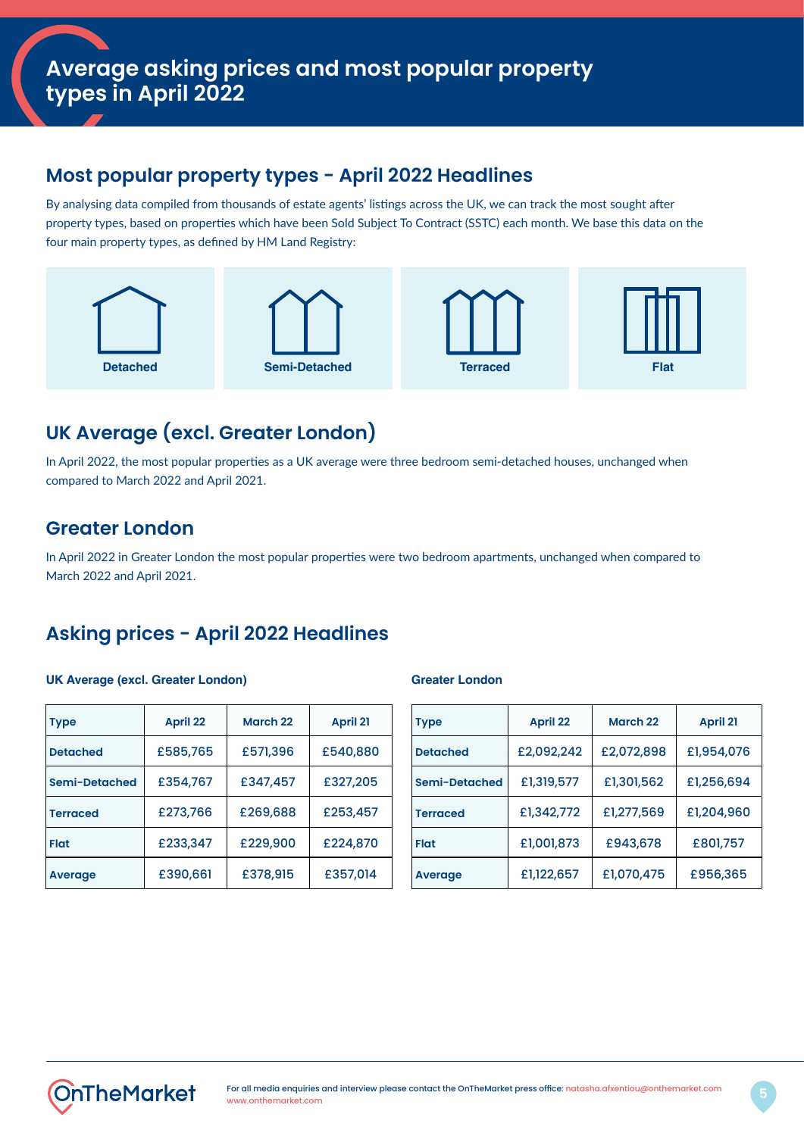## **Most popular property types - April 2022 Headlines**

By analysing data compiled from thousands of estate agents' listings across the UK, we can track the most sought after property types, based on properties which have been Sold Subject To Contract (SSTC) each month. We base this data on the four main property types, as defined by HM Land Registry:



## **UK Average (excl. Greater London)**

In April 2022, the most popular properties as a UK average were three bedroom semi-detached houses, unchanged when compared to March 2022 and April 2021.

## **Greater London**

In April 2022 in Greater London the most popular properties were two bedroom apartments, unchanged when compared to March 2022 and April 2021.

## **Asking prices - April 2022 Headlines**

#### UK Average (excl. Greater London) **Greater London**

| <b>Type</b>     | <b>April 22</b> | March 22 | <b>April 21</b> |
|-----------------|-----------------|----------|-----------------|
| <b>Detached</b> | £585,765        | £571,396 | £540,880        |
| Semi-Detached   | £354,767        | £347,457 | £327,205        |
| <b>Terraced</b> | £273,766        | £269,688 | £253,457        |
| Flat            | £233,347        | £229,900 | £224,870        |
| <b>Average</b>  | £390,661        | £378,915 | £357,014        |

| <b>Type</b>     | <b>April 22</b> | <b>March 22</b> | <b>April 21</b> |  |  |
|-----------------|-----------------|-----------------|-----------------|--|--|
| <b>Detached</b> | £2,092,242      | £2,072,898      | £1,954,076      |  |  |
| Semi-Detached   | £1,319,577      | £1,301,562      | £1,256,694      |  |  |
| <b>Terraced</b> | £1,342,772      | £1,277,569      | £1,204,960      |  |  |
| <b>Flat</b>     | £1,001,873      | £943,678        | £801,757        |  |  |
| <b>Average</b>  | £1,122,657      | £1,070,475      | £956,365        |  |  |

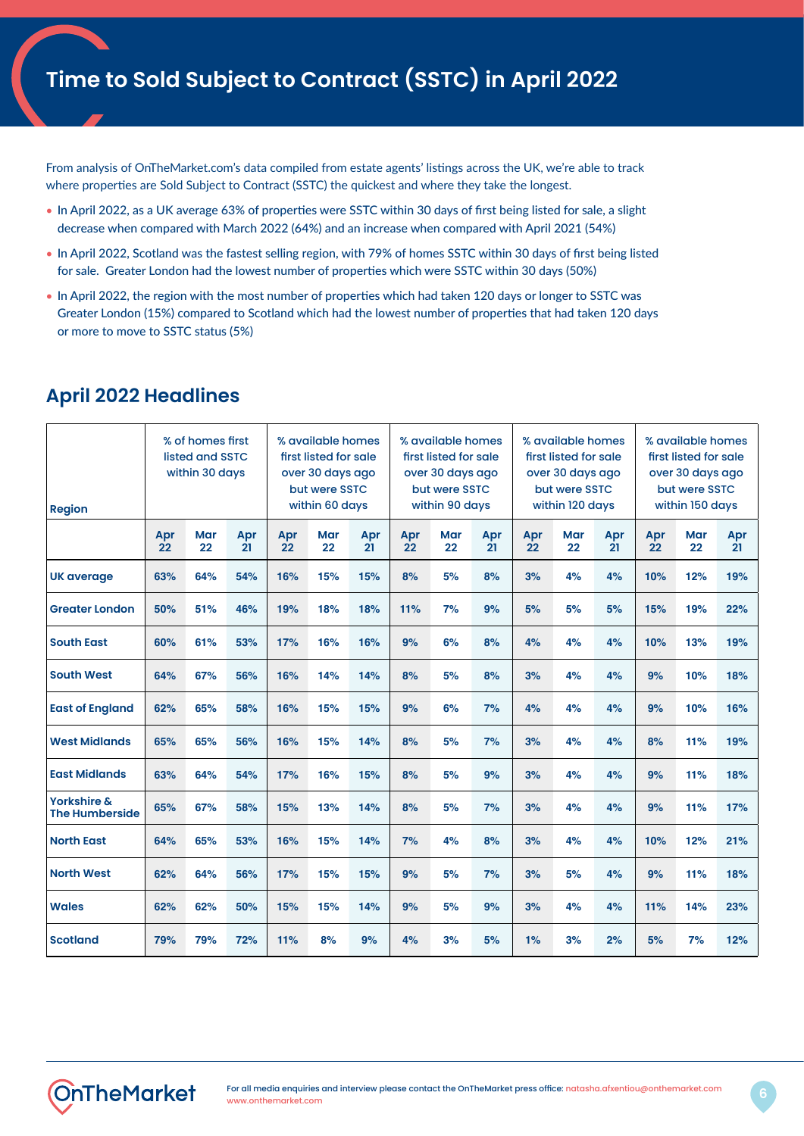From analysis of OnTheMarket.com's data compiled from estate agents' listings across the UK, we're able to track where properties are Sold Subject to Contract (SSTC) the quickest and where they take the longest.

- In April 2022, as a UK average 63% of properties were SSTC within 30 days of first being listed for sale, a slight decrease when compared with March 2022 (64%) and an increase when compared with April 2021 (54%)
- In April 2022, Scotland was the fastest selling region, with 79% of homes SSTC within 30 days of first being listed for sale. Greater London had the lowest number of properties which were SSTC within 30 days (50%)
- In April 2022, the region with the most number of properties which had taken 120 days or longer to SSTC was Greater London (15%) compared to Scotland which had the lowest number of properties that had taken 120 days or more to move to SSTC status (5%)

| <b>Region</b>                                   | % of homes first<br>listed and SSTC<br>within 30 days |           | % available homes<br>first listed for sale<br>over 30 days ago<br>but were SSTC<br>within 60 days |           | % available homes<br>first listed for sale<br>over 30 days ago<br>but were SSTC<br>within 90 days |           | % available homes<br>first listed for sale<br>over 30 days ago<br>but were SSTC<br>within 120 days |           |           | % available homes<br>first listed for sale<br>over 30 days ago<br>but were SSTC<br>within 150 days |           |           |           |           |           |
|-------------------------------------------------|-------------------------------------------------------|-----------|---------------------------------------------------------------------------------------------------|-----------|---------------------------------------------------------------------------------------------------|-----------|----------------------------------------------------------------------------------------------------|-----------|-----------|----------------------------------------------------------------------------------------------------|-----------|-----------|-----------|-----------|-----------|
|                                                 | Apr<br>$22 \overline{)}$                              | Mar<br>22 | Apr<br>21                                                                                         | Apr<br>22 | <b>Mar</b><br>22                                                                                  | Apr<br>21 | Apr<br>22                                                                                          | Mar<br>22 | Apr<br>21 | Apr<br>22                                                                                          | Mar<br>22 | Apr<br>21 | Apr<br>22 | Mar<br>22 | Apr<br>21 |
| <b>UK average</b>                               | 63%                                                   | 64%       | 54%                                                                                               | 16%       | 15%                                                                                               | 15%       | 8%                                                                                                 | 5%        | 8%        | 3%                                                                                                 | 4%        | 4%        | 10%       | 12%       | 19%       |
| <b>Greater London</b>                           | 50%                                                   | 51%       | 46%                                                                                               | 19%       | 18%                                                                                               | 18%       | 11%                                                                                                | 7%        | 9%        | 5%                                                                                                 | 5%        | 5%        | 15%       | 19%       | 22%       |
| <b>South East</b>                               | 60%                                                   | 61%       | 53%                                                                                               | 17%       | 16%                                                                                               | 16%       | 9%                                                                                                 | 6%        | 8%        | 4%                                                                                                 | 4%        | 4%        | 10%       | 13%       | 19%       |
| <b>South West</b>                               | 64%                                                   | 67%       | 56%                                                                                               | 16%       | 14%                                                                                               | 14%       | 8%                                                                                                 | 5%        | 8%        | 3%                                                                                                 | 4%        | 4%        | 9%        | 10%       | 18%       |
| <b>East of England</b>                          | 62%                                                   | 65%       | 58%                                                                                               | 16%       | 15%                                                                                               | 15%       | 9%                                                                                                 | 6%        | 7%        | 4%                                                                                                 | 4%        | 4%        | 9%        | 10%       | 16%       |
| <b>West Midlands</b>                            | 65%                                                   | 65%       | 56%                                                                                               | 16%       | 15%                                                                                               | 14%       | 8%                                                                                                 | 5%        | 7%        | 3%                                                                                                 | 4%        | 4%        | 8%        | 11%       | 19%       |
| <b>East Midlands</b>                            | 63%                                                   | 64%       | 54%                                                                                               | 17%       | 16%                                                                                               | 15%       | 8%                                                                                                 | 5%        | 9%        | 3%                                                                                                 | 4%        | 4%        | 9%        | 11%       | 18%       |
| <b>Yorkshire &amp;</b><br><b>The Humberside</b> | 65%                                                   | 67%       | 58%                                                                                               | 15%       | 13%                                                                                               | 14%       | 8%                                                                                                 | 5%        | 7%        | 3%                                                                                                 | 4%        | 4%        | 9%        | 11%       | 17%       |
| <b>North East</b>                               | 64%                                                   | 65%       | 53%                                                                                               | 16%       | 15%                                                                                               | 14%       | 7%                                                                                                 | 4%        | 8%        | 3%                                                                                                 | 4%        | 4%        | 10%       | 12%       | 21%       |
| <b>North West</b>                               | 62%                                                   | 64%       | 56%                                                                                               | 17%       | 15%                                                                                               | 15%       | 9%                                                                                                 | 5%        | 7%        | 3%                                                                                                 | 5%        | 4%        | 9%        | 11%       | 18%       |
| <b>Wales</b>                                    | 62%                                                   | 62%       | 50%                                                                                               | 15%       | 15%                                                                                               | 14%       | 9%                                                                                                 | 5%        | 9%        | 3%                                                                                                 | 4%        | 4%        | 11%       | 14%       | 23%       |
| <b>Scotland</b>                                 | 79%                                                   | 79%       | 72%                                                                                               | 11%       | 8%                                                                                                | 9%        | 4%                                                                                                 | 3%        | 5%        | 1%                                                                                                 | 3%        | 2%        | 5%        | 7%        | 12%       |

## **April 2022 Headlines**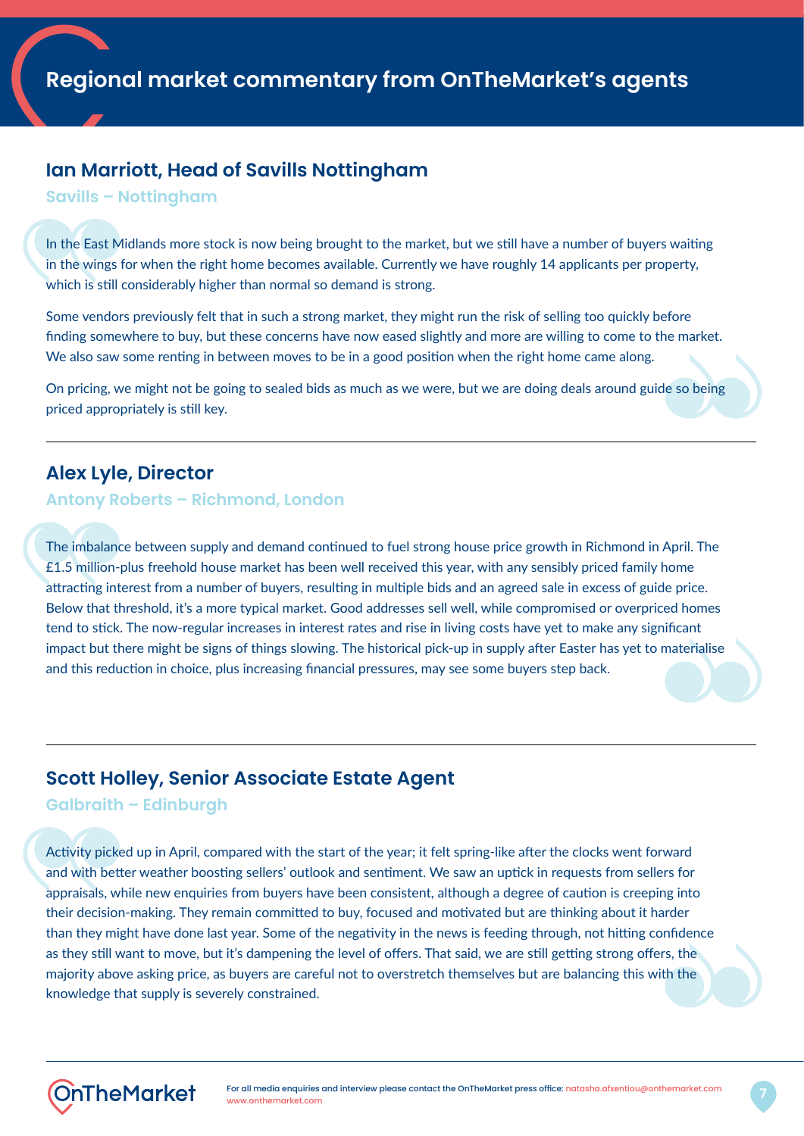### **Ian Marriott, Head of Savills Nottingham**

**Savills – Nottingham** 

In the East Midlands more stock is now being brought to the market, but we still have a number of buyers waiting in the wings for when the right home becomes available. Currently we have roughly 14 applicants per property, which is still considerably higher than normal so demand is strong.

Some vendors previously felt that in such a strong market, they might run the risk of selling too quickly before finding somewhere to buy, but these concerns have now eased slightly and more are willing to come to the market. We also saw some renting in between moves to be in a good position when the right home came along.

On pricing, we might not be going to sealed bids as much as we were, but we are doing deals around guide so being priced appropriately is still key.

## **Alex Lyle, Director**

#### **Antony Roberts – Richmond, London**

The imbalance between supply and demand continued to fuel strong house price growth in Richmond in April. The £1.5 million-plus freehold house market has been well received this year, with any sensibly priced family home attracting interest from a number of buyers, resulting in multiple bids and an agreed sale in excess of guide price. Below that threshold, it's a more typical market. Good addresses sell well, while compromised or overpriced homes tend to stick. The now-regular increases in interest rates and rise in living costs have yet to make any significant impact but there might be signs of things slowing. The historical pick-up in supply after Easter has yet to materialise and this reduction in choice, plus increasing financial pressures, may see some buyers step back.

## **Scott Holley, Senior Associate Estate Agent**

**Galbraith – Edinburgh**

Activity picked up in April, compared with the start of the year; it felt spring-like after the clocks went forward and with better weather boosting sellers' outlook and sentiment. We saw an uptick in requests from sellers for appraisals, while new enquiries from buyers have been consistent, although a degree of caution is creeping into their decision-making. They remain committed to buy, focused and motivated but are thinking about it harder than they might have done last year. Some of the negativity in the news is feeding through, not hitting confidence as they still want to move, but it's dampening the level of offers. That said, we are still getting strong offers, the majority above asking price, as buyers are careful not to overstretch themselves but are balancing this with the knowledge that supply is severely constrained.